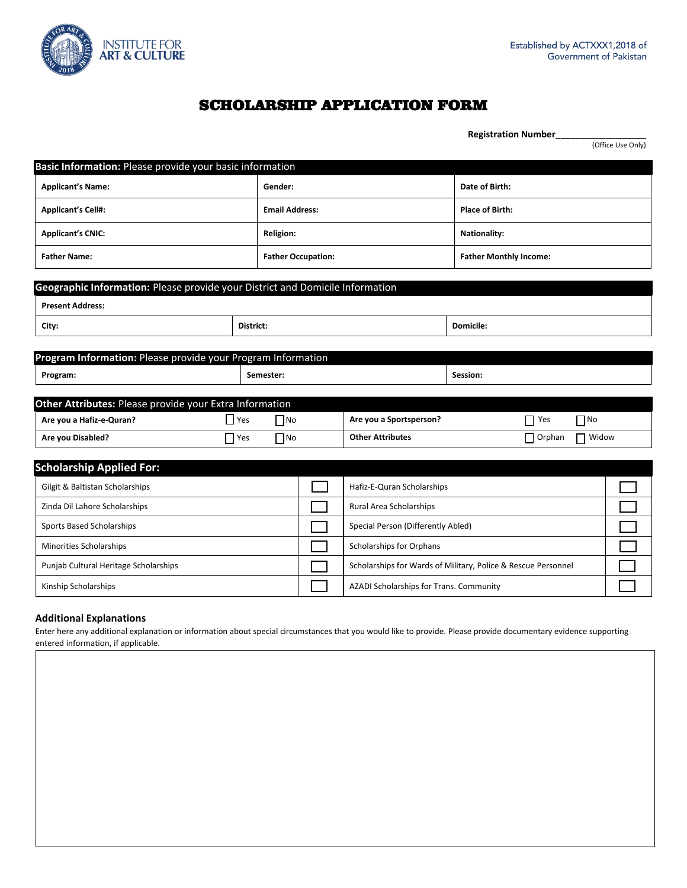

 **Registration Number\_\_\_\_\_\_\_\_\_\_\_\_\_\_\_\_\_\_**

# SCHOLARSHIP APPLICATION FORM

|                                                                               |             |                       |                           |                                                               |                               |               |              | (Office Use Only) |  |
|-------------------------------------------------------------------------------|-------------|-----------------------|---------------------------|---------------------------------------------------------------|-------------------------------|---------------|--------------|-------------------|--|
| Basic Information: Please provide your basic information                      |             |                       |                           |                                                               |                               |               |              |                   |  |
| <b>Applicant's Name:</b>                                                      |             | Gender:               |                           |                                                               | Date of Birth:                |               |              |                   |  |
| <b>Applicant's Cell#:</b>                                                     |             | <b>Email Address:</b> |                           |                                                               | <b>Place of Birth:</b>        |               |              |                   |  |
| <b>Applicant's CNIC:</b>                                                      |             | <b>Religion:</b>      |                           |                                                               | <b>Nationality:</b>           |               |              |                   |  |
| <b>Father Name:</b>                                                           |             |                       | <b>Father Occupation:</b> |                                                               | <b>Father Monthly Income:</b> |               |              |                   |  |
| Geographic Information: Please provide your District and Domicile Information |             |                       |                           |                                                               |                               |               |              |                   |  |
| <b>Present Address:</b>                                                       |             |                       |                           |                                                               |                               |               |              |                   |  |
| City:                                                                         | District:   |                       |                           |                                                               | Domicile:                     |               |              |                   |  |
|                                                                               |             |                       |                           |                                                               |                               |               |              |                   |  |
| Program Information: Please provide your Program Information                  |             |                       |                           |                                                               |                               |               |              |                   |  |
| Program:                                                                      | Semester:   |                       |                           |                                                               | Session:                      |               |              |                   |  |
| Other Attributes: Please provide your Extra Information                       |             |                       |                           |                                                               |                               |               |              |                   |  |
| Are you a Hafiz-e-Quran?                                                      | $\Box$ Yes  | $\Box$ No             |                           | Are you a Sportsperson?                                       |                               | Yes           | $\prod$ No   |                   |  |
| Are you Disabled?                                                             | $\prod$ Yes | $\Box$ No             |                           | <b>Other Attributes</b>                                       |                               | $\Box$ Orphan | $\Box$ Widow |                   |  |
|                                                                               |             |                       |                           |                                                               |                               |               |              |                   |  |
| <b>Scholarship Applied For:</b>                                               |             |                       |                           |                                                               |                               |               |              |                   |  |
| Gilgit & Baltistan Scholarships                                               |             |                       |                           | Hafiz-E-Quran Scholarships                                    |                               |               |              |                   |  |
| Zinda Dil Lahore Scholarships                                                 |             |                       |                           | Rural Area Scholarships                                       |                               |               |              |                   |  |
| Sports Based Scholarships                                                     |             |                       |                           | Special Person (Differently Abled)                            |                               |               |              |                   |  |
| Minorities Scholarships                                                       |             |                       |                           | <b>Scholarships for Orphans</b>                               |                               |               |              |                   |  |
| Punjab Cultural Heritage Scholarships                                         |             |                       |                           | Scholarships for Wards of Military, Police & Rescue Personnel |                               |               |              |                   |  |

#### **Additional Explanations**

Enter here any additional explanation or information about special circumstances that you would like to provide. Please provide documentary evidence supporting entered information, if applicable.

Kinship Scholarships **AZADI Scholarships AZADI Scholarships for Trans. Community AZADI Scholarships for Trans.** Community